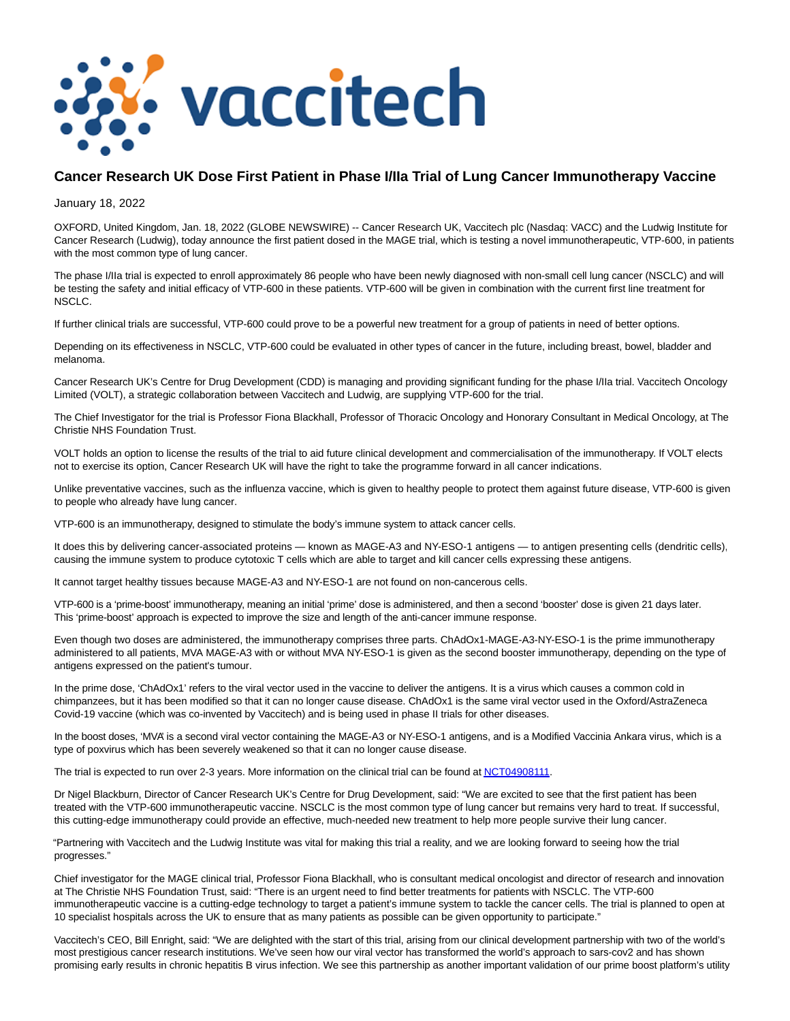

# **Cancer Research UK Dose First Patient in Phase I/IIa Trial of Lung Cancer Immunotherapy Vaccine**

January 18, 2022

OXFORD, United Kingdom, Jan. 18, 2022 (GLOBE NEWSWIRE) -- Cancer Research UK, Vaccitech plc (Nasdaq: VACC) and the Ludwig Institute for Cancer Research (Ludwig), today announce the first patient dosed in the MAGE trial, which is testing a novel immunotherapeutic, VTP-600, in patients with the most common type of lung cancer.

The phase I/IIa trial is expected to enroll approximately 86 people who have been newly diagnosed with non-small cell lung cancer (NSCLC) and will be testing the safety and initial efficacy of VTP-600 in these patients. VTP-600 will be given in combination with the current first line treatment for NSCLC.

If further clinical trials are successful, VTP-600 could prove to be a powerful new treatment for a group of patients in need of better options.

Depending on its effectiveness in NSCLC, VTP-600 could be evaluated in other types of cancer in the future, including breast, bowel, bladder and melanoma.

Cancer Research UK's Centre for Drug Development (CDD) is managing and providing significant funding for the phase I/IIa trial. Vaccitech Oncology Limited (VOLT), a strategic collaboration between Vaccitech and Ludwig, are supplying VTP-600 for the trial.

The Chief Investigator for the trial is Professor Fiona Blackhall, Professor of Thoracic Oncology and Honorary Consultant in Medical Oncology, at The Christie NHS Foundation Trust.

VOLT holds an option to license the results of the trial to aid future clinical development and commercialisation of the immunotherapy. If VOLT elects not to exercise its option, Cancer Research UK will have the right to take the programme forward in all cancer indications.

Unlike preventative vaccines, such as the influenza vaccine, which is given to healthy people to protect them against future disease, VTP-600 is given to people who already have lung cancer.

VTP-600 is an immunotherapy, designed to stimulate the body's immune system to attack cancer cells.

It does this by delivering cancer-associated proteins — known as MAGE-A3 and NY-ESO-1 antigens — to antigen presenting cells (dendritic cells), causing the immune system to produce cytotoxic T cells which are able to target and kill cancer cells expressing these antigens.

It cannot target healthy tissues because MAGE-A3 and NY-ESO-1 are not found on non-cancerous cells.

VTP-600 is a 'prime-boost' immunotherapy, meaning an initial 'prime' dose is administered, and then a second 'booster' dose is given 21 days later. This 'prime-boost' approach is expected to improve the size and length of the anti-cancer immune response.

Even though two doses are administered, the immunotherapy comprises three parts. ChAdOx1-MAGE-A3-NY-ESO-1 is the prime immunotherapy administered to all patients, MVA MAGE-A3 with or without MVA NY-ESO-1 is given as the second booster immunotherapy, depending on the type of antigens expressed on the patient's tumour.

In the prime dose, 'ChAdOx1' refers to the viral vector used in the vaccine to deliver the antigens. It is a virus which causes a common cold in chimpanzees, but it has been modified so that it can no longer cause disease. ChAdOx1 is the same viral vector used in the Oxford/AstraZeneca Covid-19 vaccine (which was co-invented by Vaccitech) and is being used in phase II trials for other diseases.

In the boost doses, 'MVA' is a second viral vector containing the MAGE-A3 or NY-ESO-1 antigens, and is a Modified Vaccinia Ankara virus, which is a type of poxvirus which has been severely weakened so that it can no longer cause disease.

The trial is expected to run over 2-3 years. More information on the clinical trial can be found a[t NCT04908111.](https://www.globenewswire.com/Tracker?data=7IlvuqkvjJkZ-cSSBIHpMZbuxzk-jnMhPu_QBe8mllamuFXS5sj_Tj9heCD-wVmIHbfLyGZRIYdSXNkte5tsTofn0CKgal_K-OJOdCTPB4XAiCFC4xY0QttF4f1wftiIvvi6KJvIhpwIYdLWEJqm7w==)

Dr Nigel Blackburn, Director of Cancer Research UK's Centre for Drug Development, said: "We are excited to see that the first patient has been treated with the VTP-600 immunotherapeutic vaccine. NSCLC is the most common type of lung cancer but remains very hard to treat. If successful, this cutting-edge immunotherapy could provide an effective, much-needed new treatment to help more people survive their lung cancer.

"Partnering with Vaccitech and the Ludwig Institute was vital for making this trial a reality, and we are looking forward to seeing how the trial progresses."

Chief investigator for the MAGE clinical trial, Professor Fiona Blackhall, who is consultant medical oncologist and director of research and innovation at The Christie NHS Foundation Trust, said: "There is an urgent need to find better treatments for patients with NSCLC. The VTP-600 immunotherapeutic vaccine is a cutting-edge technology to target a patient's immune system to tackle the cancer cells. The trial is planned to open at 10 specialist hospitals across the UK to ensure that as many patients as possible can be given opportunity to participate."

Vaccitech's CEO, Bill Enright, said: "We are delighted with the start of this trial, arising from our clinical development partnership with two of the world's most prestigious cancer research institutions. We've seen how our viral vector has transformed the world's approach to sars-cov2 and has shown promising early results in chronic hepatitis B virus infection. We see this partnership as another important validation of our prime boost platform's utility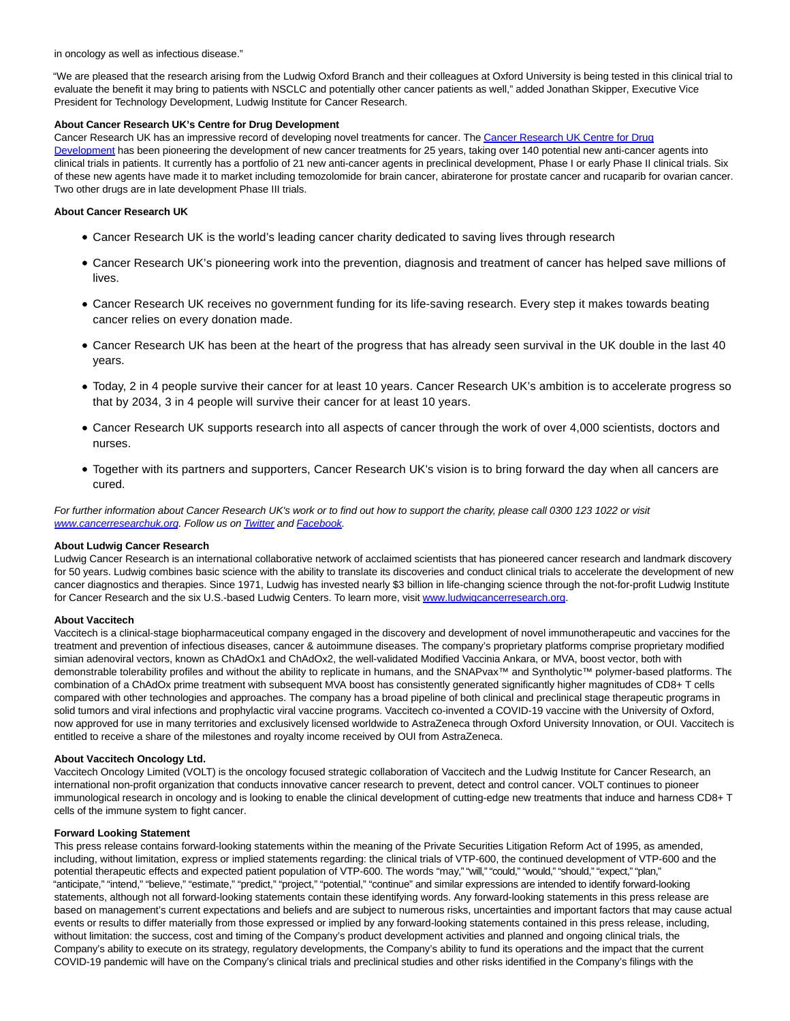in oncology as well as infectious disease."

"We are pleased that the research arising from the Ludwig Oxford Branch and their colleagues at Oxford University is being tested in this clinical trial to evaluate the benefit it may bring to patients with NSCLC and potentially other cancer patients as well," added Jonathan Skipper, Executive Vice President for Technology Development, Ludwig Institute for Cancer Research.

#### **About Cancer Research UK's Centre for Drug Development**

Cancer Research UK has an impressive record of developing novel treatments for cancer. Th[e Cancer Research UK Centre for Drug](https://www.globenewswire.com/Tracker?data=DgzRT6E1ucO2XC-KkhbP0QySVdUxy1kQqedutRXuBB2XSACyuJl1B_gWagJlaGrrBS_0c4obBIQ3SuULUWPLxG_cIv8sjevXNjWzoxyjRw0QRg7IiWJrrkwdFd4caQkUA9D34g9Qp583Q4CXe_xYrLPXIQWN95l38QKbaA0wWhLUdaEFtLM_t-Ypo2BR-2gScL-MY92fXOc4r6NtQnWXl3ToJZV-i_rx9R0R3DsNyWTAcIbmwSj_hdC5SxeEgViV) Development has been pioneering the development of new cancer treatments for 25 years, taking over 140 potential new anti-cancer agents into clinical trials in patients. It currently has a portfolio of 21 new anti-cancer agents in preclinical development, Phase I or early Phase II clinical trials. Six of these new agents have made it to market including temozolomide for brain cancer, abiraterone for prostate cancer and rucaparib for ovarian cancer. Two other drugs are in late development Phase III trials.

## **About Cancer Research UK**

- Cancer Research UK is the world's leading cancer charity dedicated to saving lives through research
- Cancer Research UK's pioneering work into the prevention, diagnosis and treatment of cancer has helped save millions of lives.
- Cancer Research UK receives no government funding for its life-saving research. Every step it makes towards beating cancer relies on every donation made.
- Cancer Research UK has been at the heart of the progress that has already seen survival in the UK double in the last 40 years.
- Today, 2 in 4 people survive their cancer for at least 10 years. Cancer Research UK's ambition is to accelerate progress so that by 2034, 3 in 4 people will survive their cancer for at least 10 years.
- Cancer Research UK supports research into all aspects of cancer through the work of over 4,000 scientists, doctors and nurses.
- Together with its partners and supporters, Cancer Research UK's vision is to bring forward the day when all cancers are cured.

For further information about Cancer Research UK's work or to find out how to support the charity, please call 0300 123 1022 or visit [www.cancerresearchuk.org.](https://www.globenewswire.com/Tracker?data=uamuXISXTqz7k-UFCPTsTqbkJD4KtQRJ26iX1nsy5CWRwI0qVFFzbceBA3phVUYMQPtV_9AAFzY0ssRc72wyAh9uHNF-EQPSNaka1l0FE9c=) Follow us on **Twitter** and **Facebook**.

### **About Ludwig Cancer Research**

Ludwig Cancer Research is an international collaborative network of acclaimed scientists that has pioneered cancer research and landmark discovery for 50 years. Ludwig combines basic science with the ability to translate its discoveries and conduct clinical trials to accelerate the development of new cancer diagnostics and therapies. Since 1971, Ludwig has invested nearly \$3 billion in life-changing science through the not-for-profit Ludwig Institute for Cancer Research and the six U.S.-based Ludwig Centers. To learn more, visit [www.ludwigcancerresearch.org.](https://www.globenewswire.com/Tracker?data=-nRct2xFIbjy1DBMzEfxFqmBfh2pU--h78YMF7wriu0e-EBPMWmx_tpoXX-vKKEJ27G77X20bPCG6clAOPaxMZtnS1oa_k3i7zg4mIiOA5tQExeBrcf495V-wR1wf7bU)

### **About Vaccitech**

Vaccitech is a clinical-stage biopharmaceutical company engaged in the discovery and development of novel immunotherapeutic and vaccines for the treatment and prevention of infectious diseases, cancer & autoimmune diseases. The company's proprietary platforms comprise proprietary modified simian adenoviral vectors, known as ChAdOx1 and ChAdOx2, the well-validated Modified Vaccinia Ankara, or MVA, boost vector, both with demonstrable tolerability profiles and without the ability to replicate in humans, and the SNAPvax™ and Syntholytic™ polymer-based platforms. The combination of a ChAdOx prime treatment with subsequent MVA boost has consistently generated significantly higher magnitudes of CD8+ T cells compared with other technologies and approaches. The company has a broad pipeline of both clinical and preclinical stage therapeutic programs in solid tumors and viral infections and prophylactic viral vaccine programs. Vaccitech co-invented a COVID-19 vaccine with the University of Oxford, now approved for use in many territories and exclusively licensed worldwide to AstraZeneca through Oxford University Innovation, or OUI. Vaccitech is entitled to receive a share of the milestones and royalty income received by OUI from AstraZeneca.

### **About Vaccitech Oncology Ltd.**

Vaccitech Oncology Limited (VOLT) is the oncology focused strategic collaboration of Vaccitech and the Ludwig Institute for Cancer Research, an international non-profit organization that conducts innovative cancer research to prevent, detect and control cancer. VOLT continues to pioneer immunological research in oncology and is looking to enable the clinical development of cutting-edge new treatments that induce and harness CD8+ T cells of the immune system to fight cancer.

### **Forward Looking Statement**

This press release contains forward-looking statements within the meaning of the Private Securities Litigation Reform Act of 1995, as amended, including, without limitation, express or implied statements regarding: the clinical trials of VTP-600, the continued development of VTP-600 and the potential therapeutic effects and expected patient population of VTP-600. The words "may," "will," "could," "would," "should," "expect," "plan," "anticipate," "intend," "believe," "estimate," "predict," "project," "potential," "continue" and similar expressions are intended to identify forward-looking statements, although not all forward-looking statements contain these identifying words. Any forward-looking statements in this press release are based on management's current expectations and beliefs and are subject to numerous risks, uncertainties and important factors that may cause actual events or results to differ materially from those expressed or implied by any forward-looking statements contained in this press release, including, without limitation: the success, cost and timing of the Company's product development activities and planned and ongoing clinical trials, the Company's ability to execute on its strategy, regulatory developments, the Company's ability to fund its operations and the impact that the current COVID-19 pandemic will have on the Company's clinical trials and preclinical studies and other risks identified in the Company's filings with the